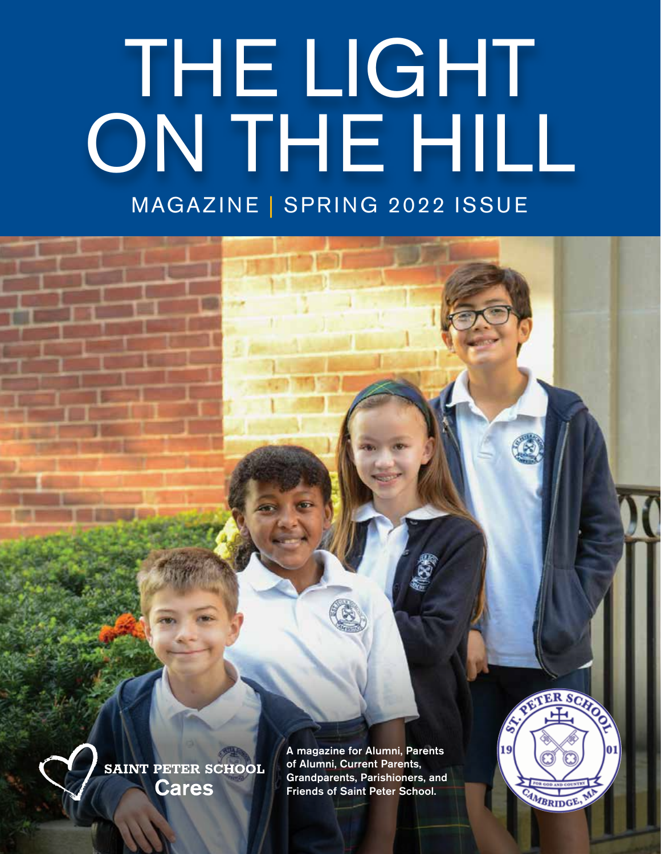# MAGAZINE | SPRING 2022 ISSUE THE LIGHT ON THE HILL



A magazine for Alumni, Parents of Alumni, Current Parents, Grandparents, Parishioners, and Friends of Saint Peter School.



SAINT PETER SCHOOL SPRING 2022 a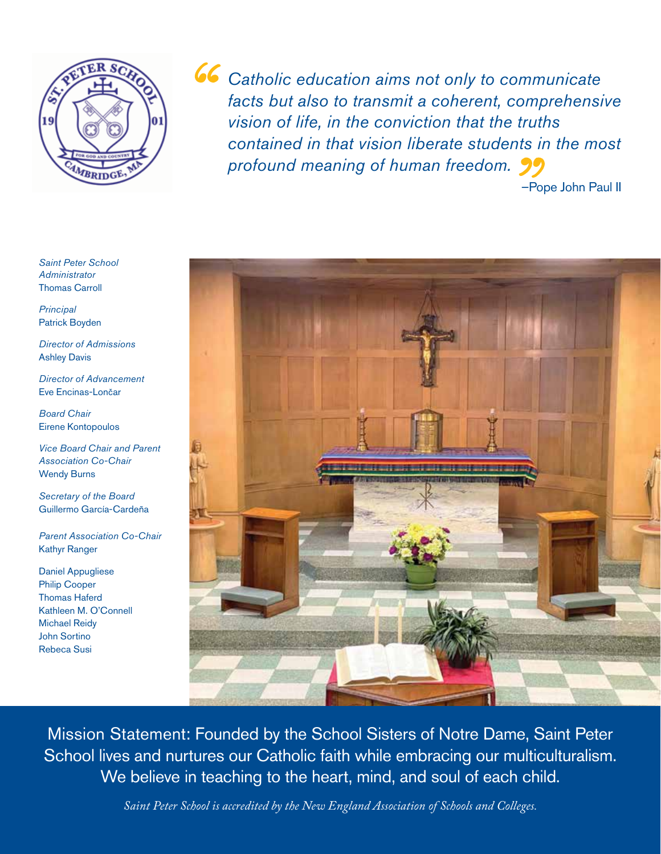

*Catholic education aims not only to communicate facts but also to transmit a coherent, comprehensive vision of life, in the conviction that the truths contained in that vision liberate students in the most profound meaning of human freedom.*

–Pope John Paul II



Mission Statement: Founded by the School Sisters of Notre Dame, Saint Peter School lives and nurtures our Catholic faith while embracing our multiculturalism. We believe in teaching to the heart, mind, and soul of each child.

*Saint Peter School is accredited by the New England Association of Schools and Colleges.*

*Saint Peter School Administrator* Thomas Carroll

*Principal* Patrick Boyden

*Director of Admissions* Ashley Davis

*Director of Advancement* Eve Encinas-Lončar

*Board Chair* Eirene Kontopoulos

*Vice Board Chair and Parent Association Co-Chair*  Wendy Burns

*Secretary of the Board* Guillermo García-Cardeña

*Parent Association Co-Chair*  Kathyr Ranger

Daniel Appugliese Philip Cooper Thomas Haferd Kathleen M. O'Connell Michael Reidy John Sortino Rebeca Susi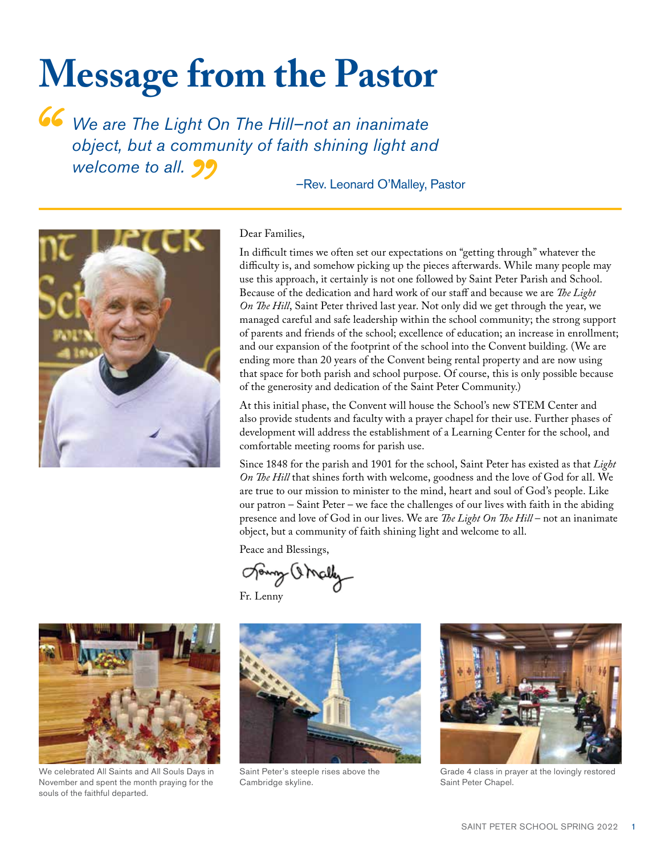### **Message from the Pastor**

*We are The Light On The Hill–not an inanimate object, but a community of faith shining light and welcome to all.*

#### –Rev. Leonard O'Malley, Pastor



#### Dear Families,

In difficult times we often set our expectations on "getting through" whatever the difficulty is, and somehow picking up the pieces afterwards. While many people may use this approach, it certainly is not one followed by Saint Peter Parish and School. Because of the dedication and hard work of our staff and because we are *The Light On The Hill*, Saint Peter thrived last year. Not only did we get through the year, we managed careful and safe leadership within the school community; the strong support of parents and friends of the school; excellence of education; an increase in enrollment; and our expansion of the footprint of the school into the Convent building. (We are ending more than 20 years of the Convent being rental property and are now using that space for both parish and school purpose. Of course, this is only possible because of the generosity and dedication of the Saint Peter Community.)

At this initial phase, the Convent will house the School's new STEM Center and also provide students and faculty with a prayer chapel for their use. Further phases of development will address the establishment of a Learning Center for the school, and comfortable meeting rooms for parish use.

Since 1848 for the parish and 1901 for the school, Saint Peter has existed as that *Light On The Hill* that shines forth with welcome, goodness and the love of God for all. We are true to our mission to minister to the mind, heart and soul of God's people. Like our patron – Saint Peter – we face the challenges of our lives with faith in the abiding presence and love of God in our lives. We are *The Light On The Hill* – not an inanimate object, but a community of faith shining light and welcome to all.

Peace and Blessings,

Joury Orcell

Fr. Lenny



We celebrated All Saints and All Souls Days in November and spent the month praying for the souls of the faithful departed.



Saint Peter's steeple rises above the Cambridge skyline.



Grade 4 class in prayer at the lovingly restored Saint Peter Chapel.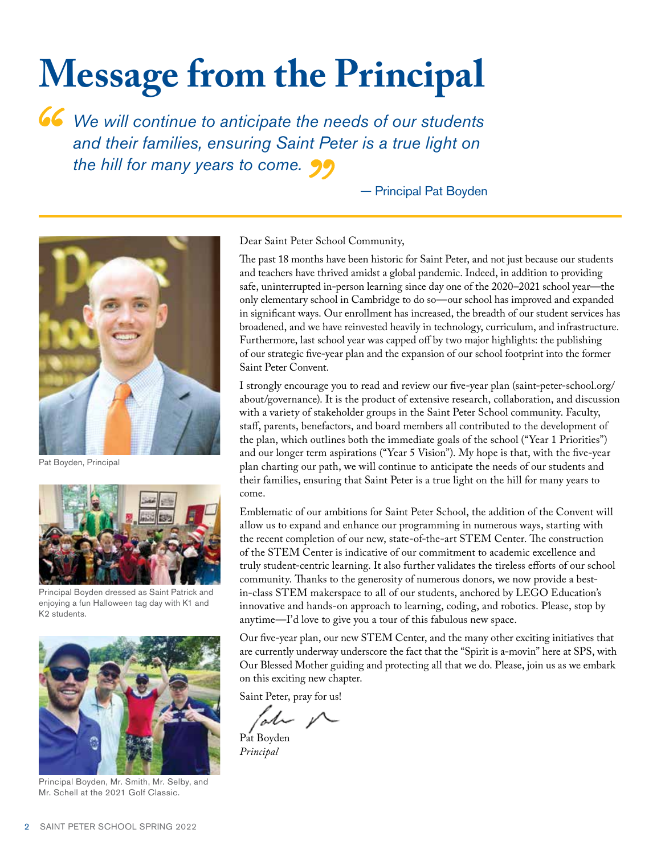## **Message from the Principal**

*We will continue to anticipate the needs of our students and their families, ensuring Saint Peter is a true light on the hill for many years to come.*

— Principal Pat Boyden



Pat Boyden, Principal



Principal Boyden dressed as Saint Patrick and enjoying a fun Halloween tag day with K1 and K2 students.



Principal Boyden, Mr. Smith, Mr. Selby, and Mr. Schell at the 2021 Golf Classic.

Dear Saint Peter School Community,

The past 18 months have been historic for Saint Peter, and not just because our students and teachers have thrived amidst a global pandemic. Indeed, in addition to providing safe, uninterrupted in-person learning since day one of the 2020–2021 school year—the only elementary school in Cambridge to do so—our school has improved and expanded in significant ways. Our enrollment has increased, the breadth of our student services has broadened, and we have reinvested heavily in technology, curriculum, and infrastructure. Furthermore, last school year was capped off by two major highlights: the publishing of our strategic five-year plan and the expansion of our school footprint into the former Saint Peter Convent.

I strongly encourage you to read and review our five-year plan (saint-peter-school.org/ about/governance). It is the product of extensive research, collaboration, and discussion with a variety of stakeholder groups in the Saint Peter School community. Faculty, staff, parents, benefactors, and board members all contributed to the development of the plan, which outlines both the immediate goals of the school ("Year 1 Priorities") and our longer term aspirations ("Year 5 Vision"). My hope is that, with the five-year plan charting our path, we will continue to anticipate the needs of our students and their families, ensuring that Saint Peter is a true light on the hill for many years to come.

Emblematic of our ambitions for Saint Peter School, the addition of the Convent will allow us to expand and enhance our programming in numerous ways, starting with the recent completion of our new, state-of-the-art STEM Center. The construction of the STEM Center is indicative of our commitment to academic excellence and truly student-centric learning. It also further validates the tireless efforts of our school community. Thanks to the generosity of numerous donors, we now provide a bestin-class STEM makerspace to all of our students, anchored by LEGO Education's innovative and hands-on approach to learning, coding, and robotics. Please, stop by anytime—I'd love to give you a tour of this fabulous new space.

Our five-year plan, our new STEM Center, and the many other exciting initiatives that are currently underway underscore the fact that the "Spirit is a-movin" here at SPS, with Our Blessed Mother guiding and protecting all that we do. Please, join us as we embark on this exciting new chapter.

Saint Peter, pray for us!

ate V

Pat Boyden *Principal*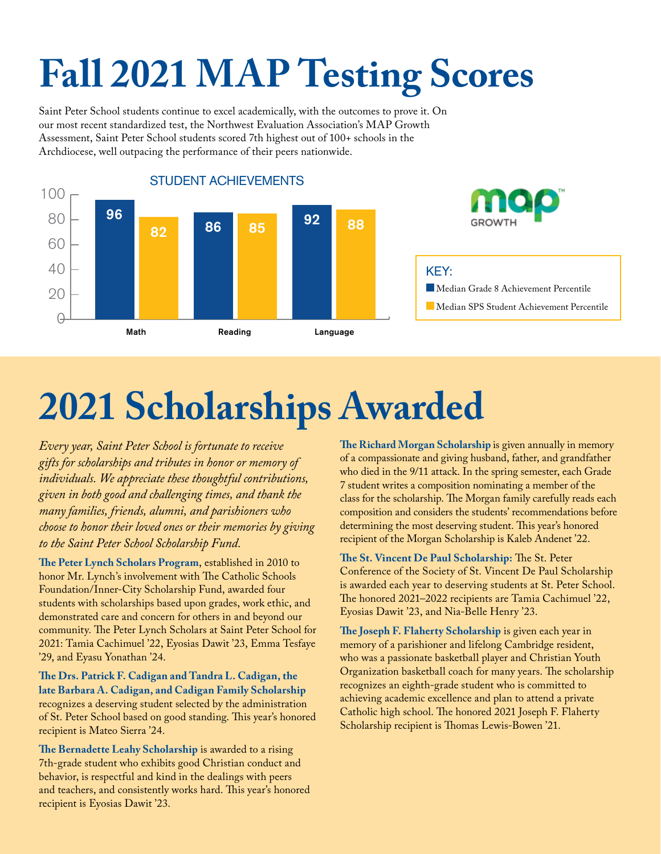## **Fall 2021 MAP Testing Scores**

Saint Peter School students continue to excel academically, with the outcomes to prove it. On our most recent standardized test, the Northwest Evaluation Association's MAP Growth Assessment, Saint Peter School students scored 7th highest out of 100+ schools in the Archdiocese, well outpacing the performance of their peers nationwide.



## **2021 Scholarships Awarded**

*Every year, Saint Peter School is fortunate to receive gifts for scholarships and tributes in honor or memory of individuals. We appreciate these thoughtful contributions, given in both good and challenging times, and thank the many families, friends, alumni, and parishioners who choose to honor their loved ones or their memories by giving to the Saint Peter School Scholarship Fund.* 

**The Peter Lynch Scholars Program**, established in 2010 to honor Mr. Lynch's involvement with The Catholic Schools Foundation/Inner-City Scholarship Fund, awarded four students with scholarships based upon grades, work ethic, and demonstrated care and concern for others in and beyond our community. The Peter Lynch Scholars at Saint Peter School for 2021: Tamia Cachimuel '22, Eyosias Dawit '23, Emma Tesfaye '29, and Eyasu Yonathan '24.

**The Drs. Patrick F. Cadigan and Tandra L. Cadigan, the late Barbara A. Cadigan, and Cadigan Family Scholarship** recognizes a deserving student selected by the administration of St. Peter School based on good standing. This year's honored recipient is Mateo Sierra '24.

**The Bernadette Leahy Scholarship** is awarded to a rising 7th-grade student who exhibits good Christian conduct and behavior, is respectful and kind in the dealings with peers and teachers, and consistently works hard. This year's honored recipient is Eyosias Dawit '23.

**The Richard Morgan Scholarship** is given annually in memory of a compassionate and giving husband, father, and grandfather who died in the 9/11 attack. In the spring semester, each Grade 7 student writes a composition nominating a member of the class for the scholarship. The Morgan family carefully reads each composition and considers the students' recommendations before determining the most deserving student. This year's honored recipient of the Morgan Scholarship is Kaleb Andenet '22.

**The St. Vincent De Paul Scholarship:** The St. Peter Conference of the Society of St. Vincent De Paul Scholarship is awarded each year to deserving students at St. Peter School. The honored 2021–2022 recipients are Tamia Cachimuel '22, Eyosias Dawit '23, and Nia-Belle Henry '23.

**The Joseph F. Flaherty Scholarship** is given each year in memory of a parishioner and lifelong Cambridge resident, who was a passionate basketball player and Christian Youth Organization basketball coach for many years. The scholarship recognizes an eighth-grade student who is committed to achieving academic excellence and plan to attend a private Catholic high school. The honored 2021 Joseph F. Flaherty Scholarship recipient is Thomas Lewis-Bowen '21.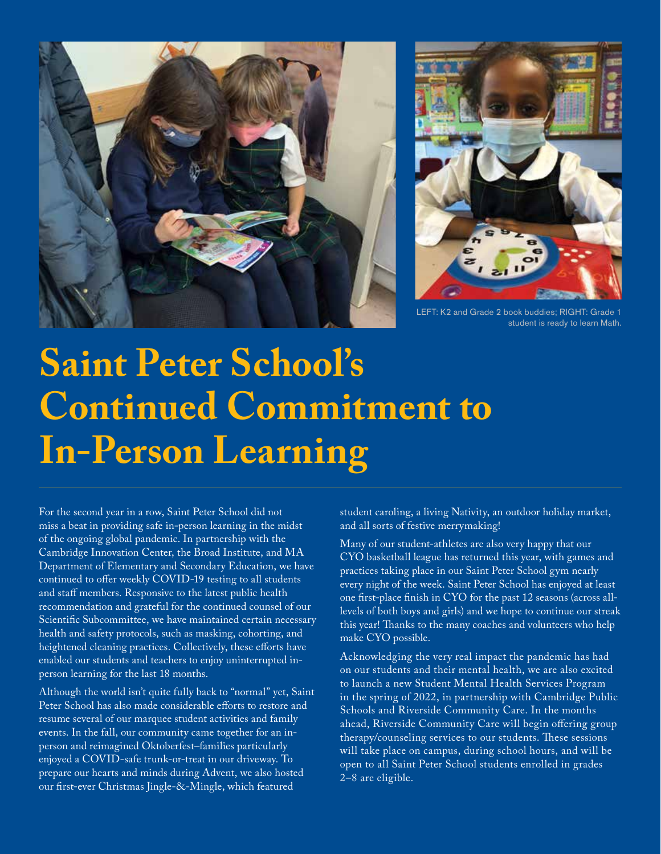



LEFT: K2 and Grade 2 book buddies; RIGHT: Grade 1 student is ready to learn Math.

### **Saint Peter School's Continued Commitment to In-Person Learning**

For the second year in a row, Saint Peter School did not miss a beat in providing safe in-person learning in the midst of the ongoing global pandemic. In partnership with the Cambridge Innovation Center, the Broad Institute, and MA Department of Elementary and Secondary Education, we have continued to offer weekly COVID-19 testing to all students and staff members. Responsive to the latest public health recommendation and grateful for the continued counsel of our Scientific Subcommittee, we have maintained certain necessary health and safety protocols, such as masking, cohorting, and heightened cleaning practices. Collectively, these efforts have enabled our students and teachers to enjoy uninterrupted inperson learning for the last 18 months.

Although the world isn't quite fully back to "normal" yet, Saint Peter School has also made considerable efforts to restore and resume several of our marquee student activities and family events. In the fall, our community came together for an inperson and reimagined Oktoberfest–families particularly enjoyed a COVID-safe trunk-or-treat in our driveway. To prepare our hearts and minds during Advent, we also hosted our first-ever Christmas Jingle-&-Mingle, which featured

student caroling, a living Nativity, an outdoor holiday market, and all sorts of festive merrymaking!

Many of our student-athletes are also very happy that our CYO basketball league has returned this year, with games and practices taking place in our Saint Peter School gym nearly every night of the week. Saint Peter School has enjoyed at least one first-place finish in CYO for the past 12 seasons (across alllevels of both boys and girls) and we hope to continue our streak this year! Thanks to the many coaches and volunteers who help make CYO possible.

Acknowledging the very real impact the pandemic has had on our students and their mental health, we are also excited to launch a new Student Mental Health Services Program in the spring of 2022, in partnership with Cambridge Public Schools and Riverside Community Care. In the months ahead, Riverside Community Care will begin offering group therapy/counseling services to our students. These sessions will take place on campus, during school hours, and will be open to all Saint Peter School students enrolled in grades 2–8 are eligible.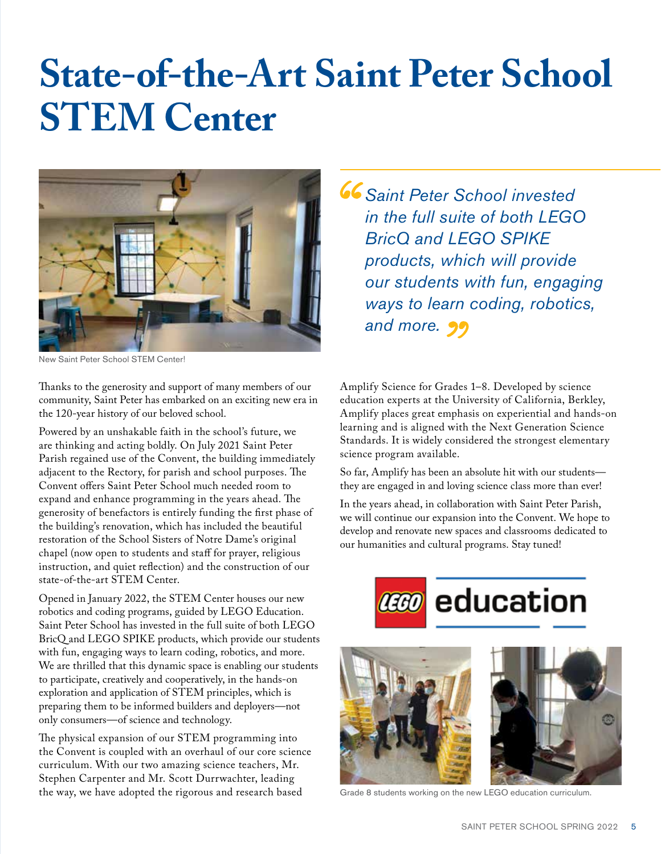### **State-of-the-Art Saint Peter School STEM Center**



New Saint Peter School STEM Center!

Thanks to the generosity and support of many members of our community, Saint Peter has embarked on an exciting new era in the 120-year history of our beloved school.

Powered by an unshakable faith in the school's future, we are thinking and acting boldly. On July 2021 Saint Peter Parish regained use of the Convent, the building immediately adjacent to the Rectory, for parish and school purposes. The Convent offers Saint Peter School much needed room to expand and enhance programming in the years ahead. The generosity of benefactors is entirely funding the first phase of the building's renovation, which has included the beautiful restoration of the School Sisters of Notre Dame's original chapel (now open to students and staff for prayer, religious instruction, and quiet reflection) and the construction of our state-of-the-art STEM Center.

Opened in January 2022, the STEM Center houses our new robotics and coding programs, guided by LEGO Education. Saint Peter School has invested in the full suite of both LEGO BricQ and LEGO SPIKE products, which provide our students with fun, engaging ways to learn coding, robotics, and more. We are thrilled that this dynamic space is enabling our students to participate, creatively and cooperatively, in the hands-on exploration and application of STEM principles, which is preparing them to be informed builders and deployers—not only consumers—of science and technology.

The physical expansion of our STEM programming into the Convent is coupled with an overhaul of our core science curriculum. With our two amazing science teachers, Mr. Stephen Carpenter and Mr. Scott Durrwachter, leading the way, we have adopted the rigorous and research based

*Saint Peter School invested in the full suite of both LEGO BricQ and LEGO SPIKE products, which will provide our students with fun, engaging ways to learn coding, robotics, and more.*

Amplify Science for Grades 1–8. Developed by science education experts at the University of California, Berkley, Amplify places great emphasis on experiential and hands-on learning and is aligned with the Next Generation Science Standards. It is widely considered the strongest elementary science program available.

So far, Amplify has been an absolute hit with our students they are engaged in and loving science class more than ever!

In the years ahead, in collaboration with Saint Peter Parish, we will continue our expansion into the Convent. We hope to develop and renovate new spaces and classrooms dedicated to our humanities and cultural programs. Stay tuned!





Grade 8 students working on the new LEGO education curriculum.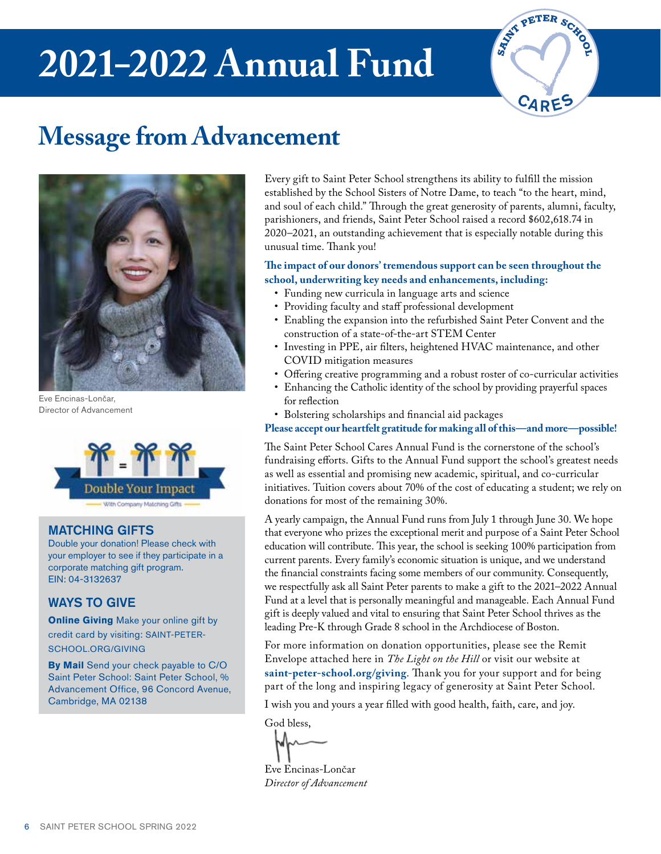### **2021–2022 Annual Fund**



### **Message from Advancement**



Eve Encinas-Lončar, Director of Advancement



#### MATCHING GIFTS

Double your donation! Please check with your employer to see if they participate in a corporate matching gift program. EIN: 04-3132637

#### WAYS TO GIVE

**Online Giving** Make your online gift by credit card by visiting: SAINT-PETER-SCHOOL.ORG/GIVING

**By Mail** Send your check payable to C/O Saint Peter School: Saint Peter School, % Advancement Office, 96 Concord Avenue, Cambridge, MA 02138

Every gift to Saint Peter School strengthens its ability to fulfill the mission established by the School Sisters of Notre Dame, to teach "to the heart, mind, and soul of each child." Through the great generosity of parents, alumni, faculty, parishioners, and friends, Saint Peter School raised a record \$602,618.74 in 2020–2021, an outstanding achievement that is especially notable during this unusual time. Thank you!

#### **The impact of our donors' tremendous support can be seen throughout the school, underwriting key needs and enhancements, including:**

- Funding new curricula in language arts and science
- Providing faculty and staff professional development
- Enabling the expansion into the refurbished Saint Peter Convent and the construction of a state-of-the-art STEM Center
- Investing in PPE, air filters, heightened HVAC maintenance, and other COVID mitigation measures
- Offering creative programming and a robust roster of co-curricular activities
- Enhancing the Catholic identity of the school by providing prayerful spaces for reflection
- Bolstering scholarships and financial aid packages

**Please accept our heartfelt gratitude for making all of this—and more—possible!**

The Saint Peter School Cares Annual Fund is the cornerstone of the school's fundraising efforts. Gifts to the Annual Fund support the school's greatest needs as well as essential and promising new academic, spiritual, and co-curricular initiatives. Tuition covers about 70% of the cost of educating a student; we rely on donations for most of the remaining 30%.

A yearly campaign, the Annual Fund runs from July 1 through June 30. We hope that everyone who prizes the exceptional merit and purpose of a Saint Peter School education will contribute. This year, the school is seeking 100% participation from current parents. Every family's economic situation is unique, and we understand the financial constraints facing some members of our community. Consequently, we respectfully ask all Saint Peter parents to make a gift to the 2021–2022 Annual Fund at a level that is personally meaningful and manageable. Each Annual Fund gift is deeply valued and vital to ensuring that Saint Peter School thrives as the leading Pre-K through Grade 8 school in the Archdiocese of Boston.

For more information on donation opportunities, please see the Remit Envelope attached here in *The Light on the Hill* or visit our website at **saint-peter-school.org/giving**. Thank you for your support and for being part of the long and inspiring legacy of generosity at Saint Peter School.

I wish you and yours a year filled with good health, faith, care, and joy.

God bless,

Eve Encinas-LonČar *Director of Advancement*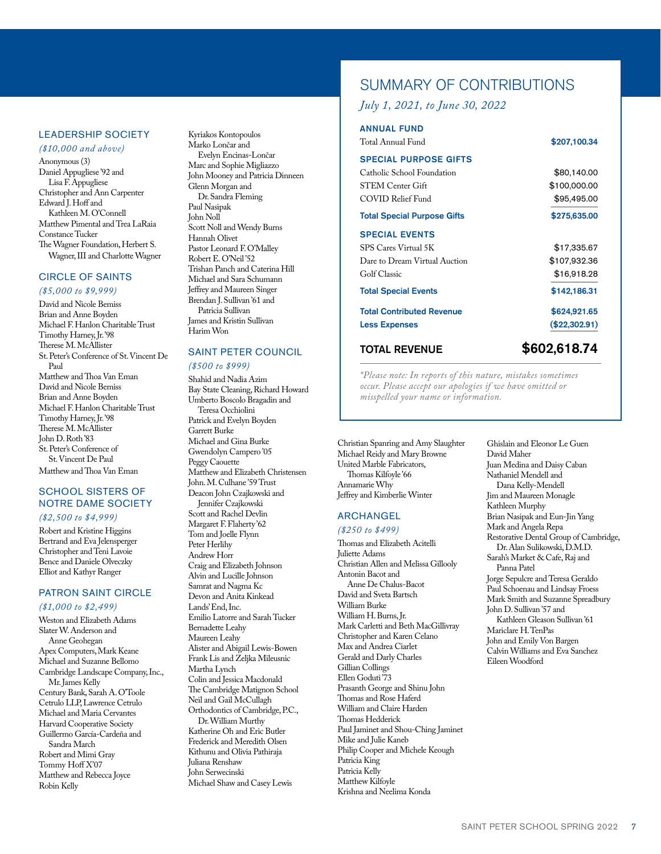#### LEADERSHIP SOCIETY

*(\$10,000 and above)* Anonymous (3) Daniel Appugliese '92 and Lisa F. Appugliese Christopher and Ann Carpenter Edward J. Hoff and Kathleen M. O'Connell Matthew Pimental and Trea LaRaia Constance Tucker The Wagner Foundation, Herbert S. Wagner, III and Charlotte Wagner

#### CIRCLE OF SAINTS

#### *(\$5,000 to \$9,999)*

David and Nicole Bemiss Brian and Anne Boyden Michael F. Hanlon Charitable Trust Timothy Harney, Jr. '98 Therese M. McAllister St. Peter's Conference of St. Vincent De Paul Matthew and Thoa Van Eman David and Nicole Bemiss Brian and Anne Boyden Michael F. Hanlon Charitable Trust Timothy Harney, Jr. '98 Therese M. McAllister John D. Roth '83 St. Peter's Conference of St. Vincent De Paul Matthew and Thoa Van Eman

#### SCHOOL SISTERS OF NOTRE DAME SOCIETY

#### *(\$2,500 to \$4,999)*

Robert and Kristine Higgins Bertrand and Eva Jelensperger Christopher and Teni Lavoie Bence and Daniele Olveczky Elliot and Kathyr Ranger

#### PATRON SAINT CIRCLE

#### *(\$1,000 to \$2,499)*

Weston and Elizabeth Adams Slater W. Anderson and Anne Geohegan Apex Computers, Mark Keane Michael and Suzanne Bellomo Cambridge Landscape Company, Inc., Mr. James Kelly Century Bank, Sarah A. O'Toole Cetrulo LLP, Lawrence Cetrulo Michael and Maria Cervantes Harvard Cooperative Society Guillermo García-Cardeña and Sandra March Robert and Mimi Gray Tommy Hoff X'07 Matthew and Rebecca Joyce Robin Kelly

Kyriakos Kontopoulos Marko Lončar and Evelyn Encinas-Lončar Marc and Sophie Migliazzo John Mooney and Patricia Dinneen Glenn Morgan and Dr. Sandra Fleming Paul Nasipak John Noll Scott Noll and Wendy Burns Hannah Olivet Pastor Leonard F. O'Malley Robert E. O'Neil '52 Trishan Panch and Caterina Hill Michael and Sara Schumann Jeffrey and Maureen Singer Brendan J. Sullivan '61 and Patricia Sullivan James and Kristin Sullivan Harim Won

#### SAINT PETER COUNCIL

#### *(\$500 to \$999)*

Shahid and Nadia Azim Bay State Cleaning, Richard Howard Umberto Boscolo Bragadin and Teresa Occhiolini Patrick and Evelyn Boyden Garrett Burke Michael and Gina Burke Gwendolyn Campero '05 Peggy Caouette Matthew and Elizabeth Christensen John. M. Culhane '59 Trust Deacon John Czajkowski and Jennifer Czajkowski Scott and Rachel Devlin Margaret F. Flaherty '62 Tom and Joelle Flynn Peter Herlihy Andrew Horr Craig and Elizabeth Johnson Alvin and Lucille Johnson Samrat and Nagma Kc Devon and Anita Kinkead Lands' End, Inc. Emilio Latorre and Sarah Tucker Bernadette Leahy Maureen Leahy Alister and Abigail Lewis-Bowen Frank Lis and Zeljka Mileusnic Martha Lynch Colin and Jessica Macdonald The Cambridge Matignon School Neil and Gail McCullagh Orthodontics of Cambridge, P.C., Dr. William Murthy Katherine Oh and Eric Butler Frederick and Meredith Olsen Kithunu and Olivia Pathiraja Juliana Renshaw John Serwecinski Michael Shaw and Casey Lewis

#### SUMMARY OF CONTRIBUTIONS

#### *July 1, 2021, to June 30, 2022*

| <b>TOTAL REVENUE</b>                                       | \$602,618.74  |
|------------------------------------------------------------|---------------|
| <b>Less Expenses</b>                                       | (\$22,302.91) |
| <b>Total Contributed Revenue</b>                           | \$624,921.65  |
| <b>Total Special Events</b>                                | \$142,186.31  |
| Golf Classic                                               | \$16,918.28   |
| Dare to Dream Virtual Auction                              | \$107,932.36  |
| SPS Cares Virtual 5K                                       | \$17,335.67   |
| <b>SPECIAL EVENTS</b>                                      |               |
| <b>Total Special Purpose Gifts</b>                         | \$275,635.00  |
| COVID Relief Fund                                          | \$95,495.00   |
| <b>STEM Center Gift</b>                                    | \$100,000.00  |
| <b>SPECIAL PURPOSE GIFTS</b><br>Catholic School Foundation | \$80,140.00   |
| Total Annual Fund                                          | \$207,100.34  |
| <b>ANNUAL FUND</b>                                         |               |

*\*Please note: In reports of this nature, mistakes sometimes occur. Please accept our apologies if we have omitted or misspelled your name or information.* 

Christian Spanring and Amy Slaughter Michael Reidy and Mary Browne United Marble Fabricators, Thomas Kilfoyle '66 Annamarie Why Jeffrey and Kimberlie Winter

#### ARCHANGEL

*(\$250 to \$499)* Thomas and Elizabeth Acitelli Juliette Adams Christian Allen and Melissa Gillooly Antonin Bacot and Anne De Chalus-Bacot David and Sveta Bartsch William Burke William H. Burns, Jr. Mark Carletti and Beth MacGillivray Christopher and Karen Celano Max and Andrea Ciarlet Gerald and Darly Charles Gillian Collings Ellen Goduti '73 Prasanth George and Shinu John Thomas and Rose Haferd William and Claire Harden Thomas Hedderick Paul Jaminet and Shou-Ching Jaminet Mike and Julie Kaneb Philip Cooper and Michele Keough Patricia King Patricia Kelly Matthew Kilfoyle Krishna and Neelima Konda

Ghislain and Eleonor Le Guen David Maher Juan Medina and Daisy Caban Nathaniel Mendell and Dana Kelly-Mendell Jim and Maureen Monagle Kathleen Murphy Brian Nasipak and Eun-Jin Yang Mark and Angela Repa Restorative Dental Group of Cambridge, Dr. Alan Sulikowski, D.M.D. Sarah's Market & Cafe, Raj and Panna Patel Jorge Sepulcre and Teresa Geraldo Paul Schoenau and Lindsay Froess Mark Smith and Suzanne Spreadbury John D. Sullivan '57 and Kathleen Gleason Sullivan '61 Mariclare H. TenPas John and Emily Von Bargen Calvin Williams and Eva Sanchez Eileen Woodford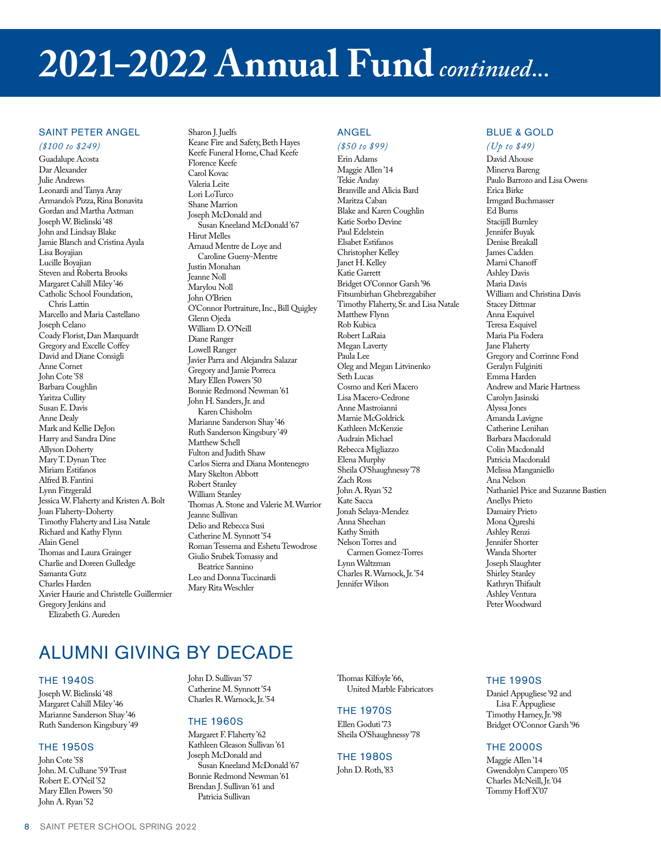### **2021–2022 Annual Fund** *continued...*

#### SAINT PETER ANGEL

#### *(\$100 to \$249)*

Guadalupe Acosta Dar Alexander Julie Andrews Leonardi and Tanya Aray Armando's Pizza, Rina Bonavita Gordan and Martha Axtman Joseph W. Bielinski '48 John and Lindsay Blake Jamie Blanch and Cristina Ayala Lisa Boyajian Lucille Boyajian Steven and Roberta Brooks Margaret Cahill Miley '46 Catholic School Foundation, Chris Lattin Marcello and Maria Castellano Joseph Celano Coady Florist, Dan Marquardt Gregory and Excelle Coffey David and Diane Consigli Anne Cornet John Cote '58 Barbara Coughlin Yaritza Cullity Susan E. Davis Anne Dealy Mark and Kellie DeJon Harry and Sandra Dine Allyson Doherty Mary T. Dynan Ttee Miriam Estifanos Alfred B. Fantini Lynn Fitzgerald Jessica W. Flaherty and Kristen A. Bolt Joan Flaherty-Doherty Timothy Flaherty and Lisa Natale Richard and Kathy Flynn Alain Genel Thomas and Laura Grainger Charlie and Doreen Gulledge Samanta Gutz Charles Harden Xavier Haurie and Christelle Guillermier Gregory Jenkins and Elizabeth G. Aureden

Sharon J. Juelfs Keane Fire and Safety, Beth Hayes Keefe Funeral Home, Chad Keefe Florence Keefe Carol Kovac Valeria Leite Lori LoTurco Shane Marrion Joseph McDonald and Susan Kneeland McDonald '67 Hirut Melles Arnaud Mentre de Loye and Caroline Gueny-Mentre Justin Monahan Jeanne Noll Marylou Noll John O'Brien O'Connor Portraiture, Inc., Bill Quigley Glenn Ojeda William D. O'Neill Diane Ranger Lowell Ranger Javier Parra and Alejandra Salazar Gregory and Jamie Porreca Mary Ellen Powers '50 Bonnie Redmond Newman '61 John H. Sanders, Jr. and Karen Chisholm Marianne Sanderson Shay '46 Ruth Sanderson Kingsbury '49 Matthew Schell Fulton and Judith Shaw Carlos Sierra and Diana Montenegro Mary Skelton Abbott Robert Stanley William Stanley Thomas A. Stone and Valerie M. Warrior Jeanne Sullivan Delio and Rebecca Susi Catherine M. Synnott '54 Roman Tessema and Eshetu Tewodrose Giulio Srubek Tomassy and Beatrice Sannino Leo and Donna Tuccinardi Mary Rita Weschler

#### ANGEL

#### *(\$50 to \$99)*

Erin Adams Maggie Allen '14 Tekie Anday Branville and Alicia Bard Maritza Caban Blake and Karen Coughlin Katie Sorbo Devine Paul Edelstein Elsabet Estifanos Christopher Kelley Janet H. Kelley Katie Garrett Bridget O'Connor Garsh '96 Fitsumbirhan Ghebrezgabiher Timothy Flaherty, Sr. and Lisa Natale Matthew Flynn Rob Kubica Robert LaRaia Megan Laverty Paula Lee Oleg and Megan Litvinenko Seth Lucas Cosmo and Keri Macero Lisa Macero-Cedrone Anne Mastroianni Marnie McGoldrick Kathleen McKenzie Audrain Michael Rebecca Migliazzo Elena Murphy Sheila O'Shaughnessy '78 Zach Ross John A. Ryan '52 Kate Sacca Jonah Selaya-Mendez Anna Sheehan Kathy Smith Nelson Torres and Carmen Gomez-Torres Lynn Waltzman Charles R. Warnock, Jr. '54 Jennifer Wilson

#### BLUE & GOLD

#### *(Up to \$49)*

David Ahouse Minerva Bareng Paulo Barrozo and Lisa Owens Erica Birke Irmgard Buchmasser Ed Burns Stacijill Burnley Jennifer Buyak Denise Breakall James Cadden Marni Chanoff Ashley Davis Maria Davis William and Christina Davis Stacey Dittmar Anna Esquivel Teresa Esquivel Maria Pia Fodera Jane Flaherty Gregory and Corrinne Fond Geralyn Fulginiti Emma Harden Andrew and Marie Hartness Carolyn Jasinski Alyssa Jones Amanda Lavigne Catherine Lenihan Barbara Macdonald Colin Macdonald Patricia Macdonald Melissa Manganiello Ana Nelson Nathaniel Price and Suzanne Bastien Anellys Prieto Damairy Prieto Mona Qureshi Ashley Renzi Jennifer Shorter Wanda Shorter Joseph Slaughter Shirley Stanley Kathryn Thifault Ashley Ventura Peter Woodward

### ALUMNI GIVING BY DECADE

#### THE 1940S

Joseph W. Bielinski '48 Margaret Cahill Miley '46 Marianne Sanderson Shay '46 Ruth Sanderson Kingsbury '49

#### THE 1950S

John Cote '58 John. M. Culhane '59 Trust Robert E. O'Neil '52 Mary Ellen Powers '50 John A. Ryan '52

John D. Sullivan '57 Catherine M. Synnott '54 Charles R. Warnock, Jr. '54

#### THE 1960S

Margaret F. Flaherty '62 Kathleen Gleason Sullivan '61 Joseph McDonald and Susan Kneeland McDonald '67 Bonnie Redmond Newman '61 Brendan J. Sullivan '61 and Patricia Sullivan

Thomas Kilfoyle '66, United Marble Fabricators

#### THE 1970S

Ellen Goduti '73 Sheila O'Shaughnessy '78

#### THE 1980S

John D. Roth, '83

#### **THE 1990S**

Daniel Appugliese '92 and Lisa F. Appugliese Timothy Harney, Jr. '98 Bridget O'Connor Garsh '96

#### **THE 2000S**

Maggie Allen '14 Gwendolyn Campero '05 Charles McNeill, Jr. '04 Tommy Hoff X'07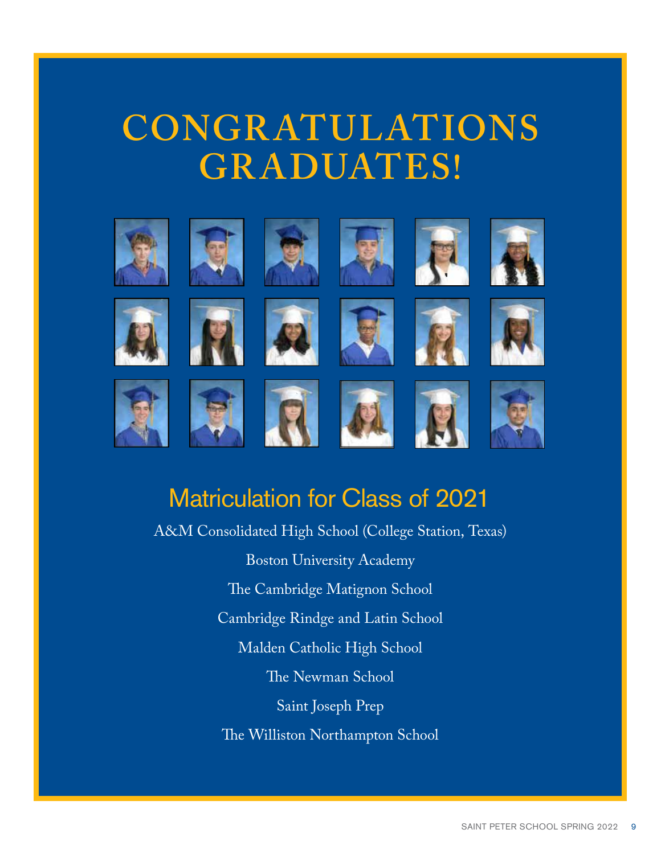### **CONGR ATULATIONS GR ADUATES!**



### Matriculation for Class of 2021

A&M Consolidated High School (College Station, Texas) Boston University Academy The Cambridge Matignon School Cambridge Rindge and Latin School Malden Catholic High School The Newman School Saint Joseph Prep The Williston Northampton School